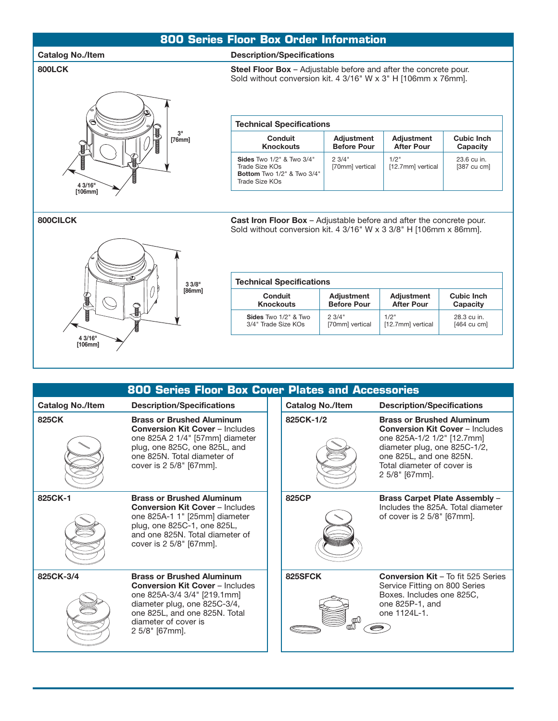### **800 Series Floor Box Order Information**

#### Catalog No./Item **Description/Specifications**

#### **800LCK** Steel Floor Box – Adjustable before and after the concrete pour.



| <b>Technical Specifications</b>                                                                        |                                  |                                        |                                      |  |  |
|--------------------------------------------------------------------------------------------------------|----------------------------------|----------------------------------------|--------------------------------------|--|--|
| Conduit<br><b>Knockouts</b>                                                                            | Adjustment<br><b>Before Pour</b> | <b>Adjustment</b><br><b>After Pour</b> | Cubic Inch<br>Capacity               |  |  |
| <b>Sides Two 1/2" &amp; Two 3/4"</b><br>Trade Size KOs<br>Bottom Two 1/2" & Two 3/4"<br>Trade Size KOs | 2.3/4"<br>[70mm] vertical        | 1/2"<br>[12.7mm] vertical              | 23.6 cu in.<br>$[387 \text{ cu cm}]$ |  |  |

Sold without conversion kit. 4 3/16" W x 3" H [106mm x 76mm].



| <b>800CILCK</b> | <b>Cast Iron Floor Box</b> – Adjustable before and after the concrete pour. |
|-----------------|-----------------------------------------------------------------------------|
|                 | Sold without conversion kit. 4 $3/16$ " W x 3 $3/8$ " H [106mm x 86mm].     |

| <b>Technical Specifications</b> |                    |                   |                       |  |  |
|---------------------------------|--------------------|-------------------|-----------------------|--|--|
| Conduit                         | <b>Adjustment</b>  |                   | Cubic Inch            |  |  |
| <b>Knockouts</b>                | <b>Before Pour</b> |                   | Capacity              |  |  |
| Sides Two 1/2" & Two            | 2.3/4"             | 1/2"              | 28.3 cu in.           |  |  |
| 3/4" Trade Size KOs             | [70mm] vertical    | [12.7mm] vertical | $[464 \text{ cu cm}]$ |  |  |

| 800 Series Floor Box Cover Plates and Accessories |                                                                                                                                                                                                                      |  |                         |                                                                                                                                                                                                                     |  |  |  |
|---------------------------------------------------|----------------------------------------------------------------------------------------------------------------------------------------------------------------------------------------------------------------------|--|-------------------------|---------------------------------------------------------------------------------------------------------------------------------------------------------------------------------------------------------------------|--|--|--|
| <b>Catalog No./Item</b>                           | <b>Description/Specifications</b>                                                                                                                                                                                    |  | <b>Catalog No./Item</b> | <b>Description/Specifications</b>                                                                                                                                                                                   |  |  |  |
| 825CK                                             | <b>Brass or Brushed Aluminum</b><br><b>Conversion Kit Cover - Includes</b><br>one 825A 2 1/4" [57mm] diameter<br>plug, one 825C, one 825L, and<br>one 825N. Total diameter of<br>cover is 2 5/8" [67mm].             |  | 825CK-1/2               | <b>Brass or Brushed Aluminum</b><br><b>Conversion Kit Cover - Includes</b><br>one 825A-1/2 1/2" [12.7mm]<br>diameter plug, one 825C-1/2,<br>one 825L, and one 825N.<br>Total diameter of cover is<br>2 5/8" [67mm]. |  |  |  |
| 825CK-1                                           | <b>Brass or Brushed Aluminum</b><br><b>Conversion Kit Cover - Includes</b><br>one 825A-1 1" [25mm] diameter<br>plug, one 825C-1, one 825L,<br>and one 825N. Total diameter of<br>cover is 2 5/8" [67mm].             |  | 825CP                   | <b>Brass Carpet Plate Assembly -</b><br>Includes the 825A. Total diameter<br>of cover is 2 5/8" [67mm].                                                                                                             |  |  |  |
| 825CK-3/4                                         | <b>Brass or Brushed Aluminum</b><br><b>Conversion Kit Cover - Includes</b><br>one 825A-3/4 3/4" [219.1mm]<br>diameter plug, one 825C-3/4,<br>one 825L, and one 825N. Total<br>diameter of cover is<br>2 5/8" [67mm]. |  | 825SFCK                 | <b>Conversion Kit - To fit 525 Series</b><br>Service Fitting on 800 Series<br>Boxes. Includes one 825C,<br>one 825P-1, and<br>one 1124L-1.                                                                          |  |  |  |